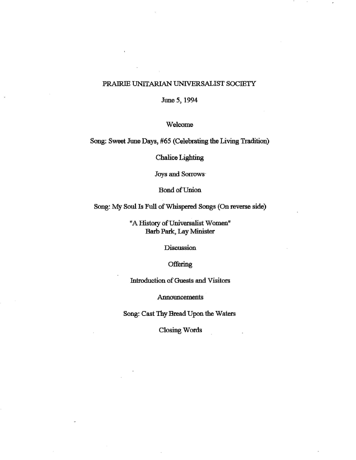## PRAJRIE UNITARIAN UNIVERSALIST SOCIETY

June *5,* 1994

Welcome

Song: Sweet June Days, #65 (Celebrating the Living Tradition)

Chalice Lighting

Joys and Sorrows·

Bond of Union

Song: My Soul Is Full of Whispered Songs (On reverse side)

"A History of Universalist Women" Barb Park, Lay Minister

**Discussion** 

**Offering** 

Introduction of Guests and Visitors

Announcements

Song: Cast Thy Bread Upon the Waters

Closing Words